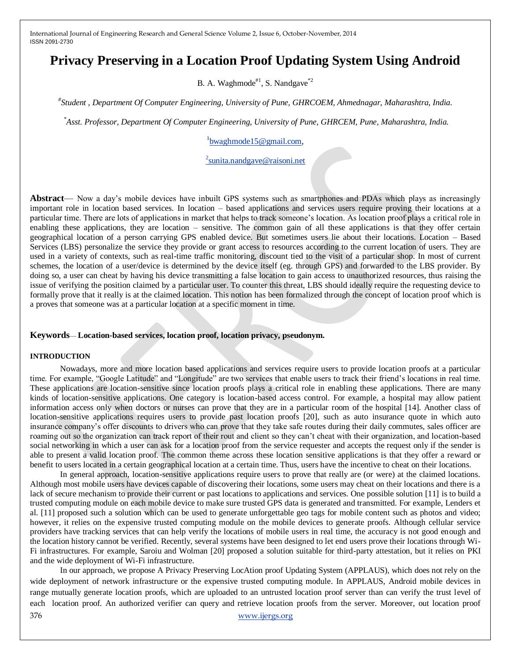# **Privacy Preserving in a Location Proof Updating System Using Android**

B. A. Waghmode $^{*1}$ , S. Nandgave $^{*2}$ 

*# Student , Department Of Computer Engineering, University of Pune, GHRCOEM, Ahmednagar, Maharashtra, India.*

*\*Asst. Professor, Department Of Computer Engineering, University of Pune, GHRCEM, Pune, Maharashtra, India.*

<sup>1</sup>[bwaghmode15@gmail.com,](mailto:bwaghmode15@gmail.com)

<sup>2</sup>[sunita.nandgave@raisoni.net](mailto:2sunita.nandgave@raisoni.net)

**Abstract**— Now a day's mobile devices have inbuilt GPS systems such as smartphones and PDAs which plays as increasingly important role in location based services. In location – based applications and services users require proving their locations at a particular time. There are lots of applications in market that helps to track someone's location. As location proof plays a critical role in enabling these applications, they are location – sensitive. The common gain of all these applications is that they offer certain geographical location of a person carrying GPS enabled device. But sometimes users lie about their locations. Location – Based Services (LBS) personalize the service they provide or grant access to resources according to the current location of users. They are used in a variety of contexts, such as real-time traffic monitoring, discount tied to the visit of a particular shop. In most of current schemes, the location of a user/device is determined by the device itself (eg. through GPS) and forwarded to the LBS provider. By doing so, a user can cheat by having his device transmitting a false location to gain access to unauthorized resources, thus raising the issue of verifying the position claimed by a particular user. To counter this threat, LBS should ideally require the requesting device to formally prove that it really is at the claimed location. This notion has been formalized through the concept of location proof which is a proves that someone was at a particular location at a specific moment in time.

#### **Keywords**— **Location-based services, location proof, location privacy, pseudonym.**

#### **INTRODUCTION**

Nowadays, more and more location based applications and services require users to provide location proofs at a particular time. For example, "Google Latitude" and "Longitude" are two services that enable users to track their friend's locations in real time. These applications are location-sensitive since location proofs plays a critical role in enabling these applications. There are many kinds of location-sensitive applications. One category is location-based access control. For example, a hospital may allow patient information access only when doctors or nurses can prove that they are in a particular room of the hospital [14]. Another class of location-sensitive applications requires users to provide past location proofs [20], such as auto insurance quote in which auto insurance company's offer discounts to drivers who can prove that they take safe routes during their daily commutes, sales officer are roaming out so the organization can track report of their rout and client so they can't cheat with their organization, and location-based social networking in which a user can ask for a location proof from the service requester and accepts the request only if the sender is able to present a valid location proof. The common theme across these location sensitive applications is that they offer a reward or benefit to users located in a certain geographical location at a certain time. Thus, users have the incentive to cheat on their locations.

In general approach, location-sensitive applications require users to prove that really are (or were) at the claimed locations. Although most mobile users have devices capable of discovering their locations, some users may cheat on their locations and there is a lack of secure mechanism to provide their current or past locations to applications and services. One possible solution [11] is to build a trusted computing module on each mobile device to make sure trusted GPS data is generated and transmitted. For example, Lenders et al. [11] proposed such a solution which can be used to generate unforgettable geo tags for mobile content such as photos and video; however, it relies on the expensive trusted computing module on the mobile devices to generate proofs. Although cellular service providers have tracking services that can help verify the locations of mobile users in real time, the accuracy is not good enough and the location history cannot be verified. Recently, several systems have been designed to let end users prove their locations through Wi-Fi infrastructures. For example, Saroiu and Wolman [20] proposed a solution suitable for third-party attestation, but it relies on PKI and the wide deployment of Wi-Fi infrastructure.

376 [www.ijergs.org](http://www.ijergs.org/) In our approach, we propose A Privacy Preserving LocAtion proof Updating System (APPLAUS), which does not rely on the wide deployment of network infrastructure or the expensive trusted computing module. In APPLAUS, Android mobile devices in range mutually generate location proofs, which are uploaded to an untrusted location proof server than can verify the trust level of each location proof. An authorized verifier can query and retrieve location proofs from the server. Moreover, out location proof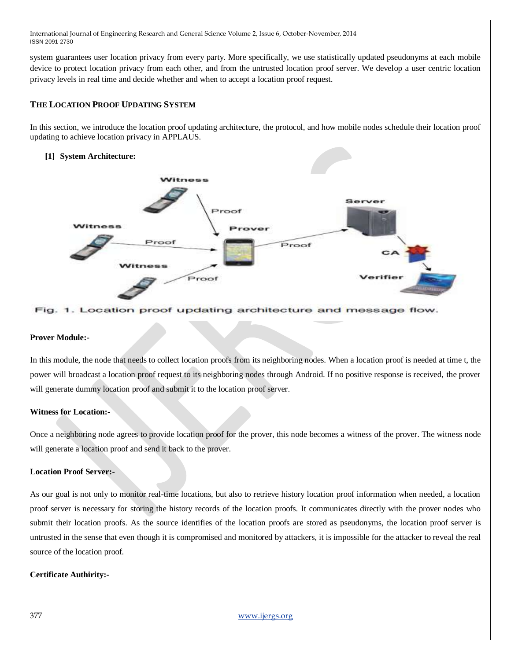system guarantees user location privacy from every party. More specifically, we use statistically updated pseudonyms at each mobile device to protect location privacy from each other, and from the untrusted location proof server. We develop a user centric location privacy levels in real time and decide whether and when to accept a location proof request.

## **THE LOCATION PROOF UPDATING SYSTEM**

In this section, we introduce the location proof updating architecture, the protocol, and how mobile nodes schedule their location proof updating to achieve location privacy in APPLAUS.

### **[1] System Architecture:**



#### . Location proof updating architecture and message flow.

#### **Prover Module:-**

In this module, the node that needs to collect location proofs from its neighboring nodes. When a location proof is needed at time t, the power will broadcast a location proof request to its neighboring nodes through Android. If no positive response is received, the prover will generate dummy location proof and submit it to the location proof server.

### **Witness for Location:-**

Once a neighboring node agrees to provide location proof for the prover, this node becomes a witness of the prover. The witness node will generate a location proof and send it back to the prover.

#### **Location Proof Server:-**

As our goal is not only to monitor real-time locations, but also to retrieve history location proof information when needed, a location proof server is necessary for storing the history records of the location proofs. It communicates directly with the prover nodes who submit their location proofs. As the source identifies of the location proofs are stored as pseudonyms, the location proof server is untrusted in the sense that even though it is compromised and monitored by attackers, it is impossible for the attacker to reveal the real source of the location proof.

### **Certificate Authirity:-**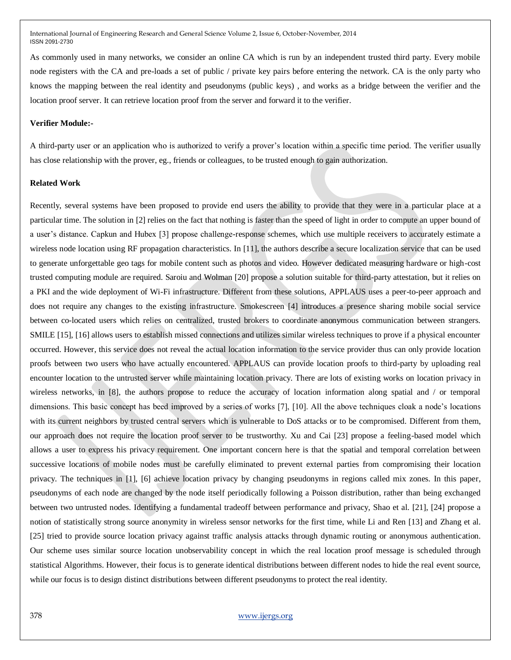As commonly used in many networks, we consider an online CA which is run by an independent trusted third party. Every mobile node registers with the CA and pre-loads a set of public / private key pairs before entering the network. CA is the only party who knows the mapping between the real identity and pseudonyms (public keys) , and works as a bridge between the verifier and the location proof server. It can retrieve location proof from the server and forward it to the verifier.

#### **Verifier Module:-**

A third-party user or an application who is authorized to verify a prover's location within a specific time period. The verifier usually has close relationship with the prover, eg., friends or colleagues, to be trusted enough to gain authorization.

#### **Related Work**

Recently, several systems have been proposed to provide end users the ability to provide that they were in a particular place at a particular time. The solution in [2] relies on the fact that nothing is faster than the speed of light in order to compute an upper bound of a user's distance. Capkun and Hubex [3] propose challenge-response schemes, which use multiple receivers to accurately estimate a wireless node location using RF propagation characteristics. In [11], the authors describe a secure localization service that can be used to generate unforgettable geo tags for mobile content such as photos and video. However dedicated measuring hardware or high-cost trusted computing module are required. Saroiu and Wolman [20] propose a solution suitable for third-party attestation, but it relies on a PKI and the wide deployment of Wi-Fi infrastructure. Different from these solutions, APPLAUS uses a peer-to-peer approach and does not require any changes to the existing infrastructure. Smokescreen [4] introduces a presence sharing mobile social service between co-located users which relies on centralized, trusted brokers to coordinate anonymous communication between strangers. SMILE [15], [16] allows users to establish missed connections and utilizes similar wireless techniques to prove if a physical encounter occurred. However, this service does not reveal the actual location information to the service provider thus can only provide location proofs between two users who have actually encountered. APPLAUS can provide location proofs to third-party by uploading real encounter location to the untrusted server while maintaining location privacy. There are lots of existing works on location privacy in wireless networks, in [8], the authors propose to reduce the accuracy of location information along spatial and / or temporal dimensions. This basic concept has beed improved by a series of works [7], [10]. All the above techniques cloak a node's locations with its current neighbors by trusted central servers which is vulnerable to DoS attacks or to be compromised. Different from them, our approach does not require the location proof server to be trustworthy. Xu and Cai [23] propose a feeling-based model which allows a user to express his privacy requirement. One important concern here is that the spatial and temporal correlation between successive locations of mobile nodes must be carefully eliminated to prevent external parties from compromising their location privacy. The techniques in [1], [6] achieve location privacy by changing pseudonyms in regions called mix zones. In this paper, pseudonyms of each node are changed by the node itself periodically following a Poisson distribution, rather than being exchanged between two untrusted nodes. Identifying a fundamental tradeoff between performance and privacy, Shao et al. [21], [24] propose a notion of statistically strong source anonymity in wireless sensor networks for the first time, while Li and Ren [13] and Zhang et al. [25] tried to provide source location privacy against traffic analysis attacks through dynamic routing or anonymous authentication. Our scheme uses similar source location unobservability concept in which the real location proof message is scheduled through statistical Algorithms. However, their focus is to generate identical distributions between different nodes to hide the real event source, while our focus is to design distinct distributions between different pseudonyms to protect the real identity.